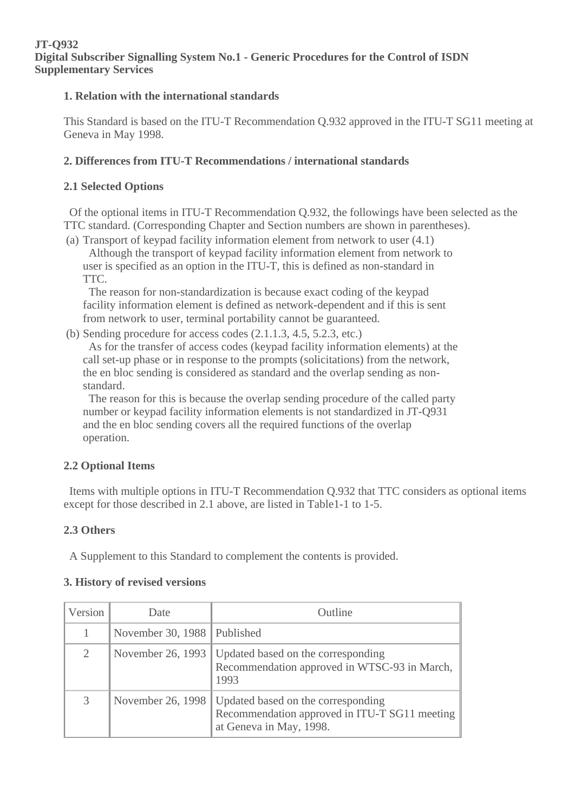#### **JT-Q932 Digital Subscriber Signalling System No.1 - Generic Procedures for the Control of ISDN Supplementary Services**

#### **1. Relation with the international standards**

This Standard is based on the ITU-T Recommendation Q.932 approved in the ITU-T SG11 meeting at Geneva in May 1998.

# **2. Differences from ITU-T Recommendations / international standards**

### **2.1 Selected Options**

 Of the optional items in ITU-T Recommendation Q.932, the followings have been selected as the TTC standard. (Corresponding Chapter and Section numbers are shown in parentheses).

(a) Transport of keypad facility information element from network to user (4.1) Although the transport of keypad facility information element from network to user is specified as an option in the ITU-T, this is defined as non-standard in TTC.

 The reason for non-standardization is because exact coding of the keypad facility information element is defined as network-dependent and if this is sent from network to user, terminal portability cannot be guaranteed.

(b) Sending procedure for access codes (2.1.1.3, 4.5, 5.2.3, etc.)

 As for the transfer of access codes (keypad facility information elements) at the call set-up phase or in response to the prompts (solicitations) from the network, the en bloc sending is considered as standard and the overlap sending as nonstandard.

 The reason for this is because the overlap sending procedure of the called party number or keypad facility information elements is not standardized in JT-Q931 and the en bloc sending covers all the required functions of the overlap operation.

# **2.2 Optional Items**

 Items with multiple options in ITU-T Recommendation Q.932 that TTC considers as optional items except for those described in 2.1 above, are listed in Table1-1 to 1-5.

# **2.3 Others**

A Supplement to this Standard to complement the contents is provided.

#### **3. History of revised versions**

| Version | Date                        | Outline                                                                                                                            |
|---------|-----------------------------|------------------------------------------------------------------------------------------------------------------------------------|
|         | November 30, 1988 Published |                                                                                                                                    |
| 2       |                             | November 26, 1993   Updated based on the corresponding<br>Recommendation approved in WTSC-93 in March,<br>1993                     |
| 3       |                             | November 26, 1998   Updated based on the corresponding<br>Recommendation approved in ITU-T SG11 meeting<br>at Geneva in May, 1998. |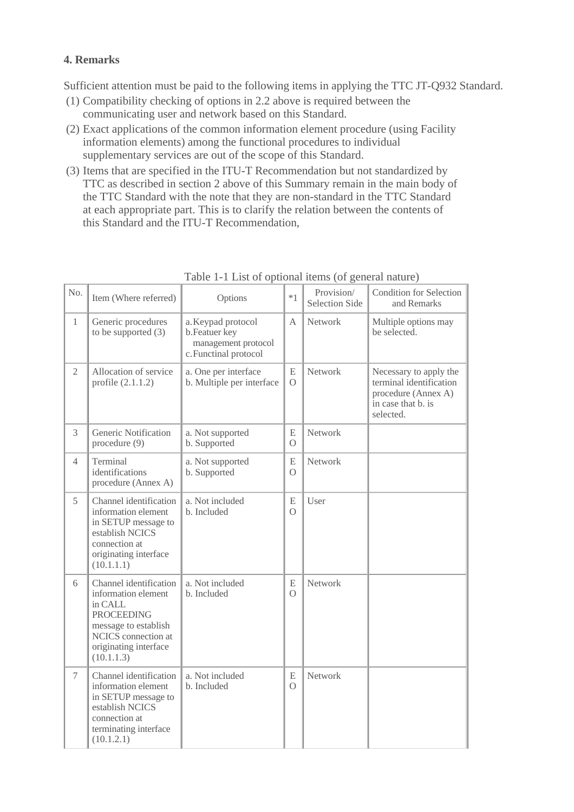# **4. Remarks**

Sufficient attention must be paid to the following items in applying the TTC JT-Q932 Standard.

- (1) Compatibility checking of options in 2.2 above is required between the communicating user and network based on this Standard.
- (2) Exact applications of the common information element procedure (using Facility information elements) among the functional procedures to individual supplementary services are out of the scope of this Standard.
- (3) Items that are specified in the ITU-T Recommendation but not standardized by TTC as described in section 2 above of this Summary remain in the main body of the TTC Standard with the note that they are non-standard in the TTC Standard at each appropriate part. This is to clarify the relation between the contents of this Standard and the ITU-T Recommendation,

| No.            | Item (Where referred)                                                                                                                                               | Options                                                                             | $*1$                  | Provision/<br><b>Selection Side</b> | <b>Condition for Selection</b><br>and Remarks                                                               |
|----------------|---------------------------------------------------------------------------------------------------------------------------------------------------------------------|-------------------------------------------------------------------------------------|-----------------------|-------------------------------------|-------------------------------------------------------------------------------------------------------------|
| $\mathbf{1}$   | Generic procedures<br>to be supported $(3)$                                                                                                                         | a. Keypad protocol<br>b.Featuer key<br>management protocol<br>c. Functinal protocol | A                     | Network                             | Multiple options may<br>be selected.                                                                        |
| $\mathfrak{2}$ | Allocation of service<br>profile $(2.1.1.2)$                                                                                                                        | a. One per interface<br>b. Multiple per interface                                   | E<br>$\Omega$         | Network                             | Necessary to apply the<br>terminal identification<br>procedure (Annex A)<br>in case that b. is<br>selected. |
| 3              | Generic Notification<br>procedure (9)                                                                                                                               | a. Not supported<br>b. Supported                                                    | E<br>$\Omega$         | Network                             |                                                                                                             |
| $\overline{4}$ | Terminal<br>identifications<br>procedure (Annex A)                                                                                                                  | a. Not supported<br>b. Supported                                                    | E<br>$\Omega$         | Network                             |                                                                                                             |
| 5              | Channel identification<br>information element<br>in SETUP message to<br>establish NCICS<br>connection at<br>originating interface<br>(10.1.1.1)                     | a. Not included<br>b. Included                                                      | ${\bf E}$<br>$\Omega$ | User                                |                                                                                                             |
| 6              | Channel identification<br>information element<br>in CALL<br><b>PROCEEDING</b><br>message to establish<br>NCICS connection at<br>originating interface<br>(10.1.1.3) | a. Not included<br>b. Included                                                      | E<br>$\Omega$         | Network                             |                                                                                                             |
| $\tau$         | Channel identification<br>information element<br>in SETUP message to<br>establish NCICS<br>connection at<br>terminating interface<br>(10.1.2.1)                     | a. Not included<br>b. Included                                                      | E<br>$\Omega$         | Network                             |                                                                                                             |

Table 1-1 List of optional items (of general nature)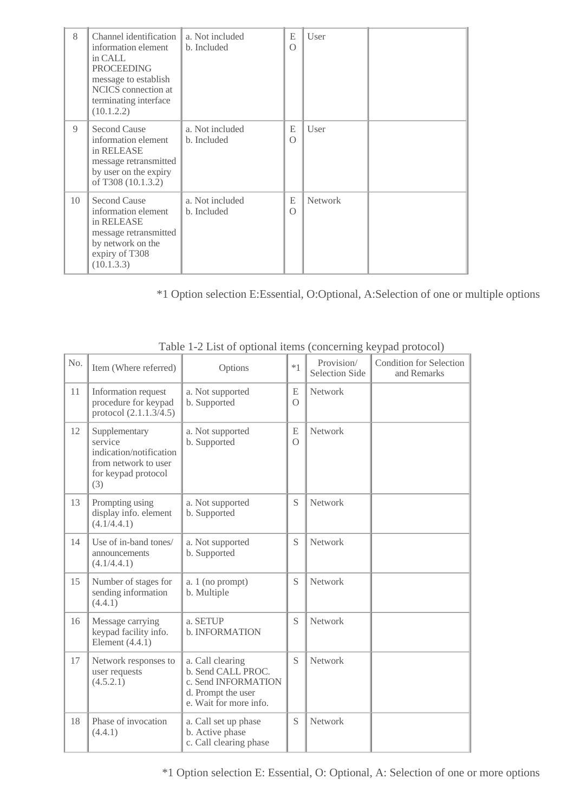| 8  | Channel identification<br>information element<br>in CALL<br><b>PROCEEDING</b><br>message to establish<br>NCICS connection at<br>terminating interface<br>(10.1.2.2) | a. Not included<br>b. Included | E<br>$\Omega$ | User           |  |
|----|---------------------------------------------------------------------------------------------------------------------------------------------------------------------|--------------------------------|---------------|----------------|--|
| 9  | Second Cause<br>information element<br>in RELEASE<br>message retransmitted<br>by user on the expiry<br>of T308 (10.1.3.2)                                           | a. Not included<br>b. Included | E<br>$\Omega$ | User           |  |
| 10 | Second Cause<br>information element<br>in RELEASE<br>message retransmitted<br>by network on the<br>expiry of T308<br>(10.1.3.3)                                     | a. Not included<br>b. Included | E<br>$\Omega$ | <b>Network</b> |  |

\*1 Option selection E:Essential, O:Optional, A:Selection of one or multiple options

|     |                                                                                                           | $\mu$ and $\mu$ and $\sigma$ between $\mu$ and $\sigma$ and $\mu$ and $\mu$ $\mu$ $\sigma$ $\mu$ $\sigma$ $\sigma$ $\sigma$ |               |                              |                                               |
|-----|-----------------------------------------------------------------------------------------------------------|-----------------------------------------------------------------------------------------------------------------------------|---------------|------------------------------|-----------------------------------------------|
| No. | Item (Where referred)                                                                                     | Options                                                                                                                     | $*1$          | Provision/<br>Selection Side | <b>Condition for Selection</b><br>and Remarks |
| 11  | Information request<br>procedure for keypad<br>protocol (2.1.1.3/4.5)                                     | a. Not supported<br>b. Supported                                                                                            | E<br>$\Omega$ | Network                      |                                               |
| 12  | Supplementary<br>service<br>indication/notification<br>from network to user<br>for keypad protocol<br>(3) | a. Not supported<br>b. Supported                                                                                            | E<br>$\Omega$ | Network                      |                                               |
| 13  | Prompting using<br>display info. element<br>(4.1/4.4.1)                                                   | a. Not supported<br>b. Supported                                                                                            | S             | Network                      |                                               |
| 14  | Use of in-band tones/<br>announcements<br>(4.1/4.4.1)                                                     | a. Not supported<br>b. Supported                                                                                            | S             | <b>Network</b>               |                                               |
| 15  | Number of stages for<br>sending information<br>(4.4.1)                                                    | a. 1 (no prompt)<br>b. Multiple                                                                                             | S             | Network                      |                                               |
| 16  | Message carrying<br>keypad facility info.<br>Element $(4.4.1)$                                            | a. SETUP<br>b. INFORMATION                                                                                                  | S             | Network                      |                                               |
| 17  | Network responses to<br>user requests<br>(4.5.2.1)                                                        | a. Call clearing<br>b. Send CALL PROC.<br>c. Send INFORMATION<br>d. Prompt the user<br>e. Wait for more info.               | S             | Network                      |                                               |
| 18  | Phase of invocation<br>(4.4.1)                                                                            | a. Call set up phase<br>b. Active phase<br>c. Call clearing phase                                                           | S             | <b>Network</b>               |                                               |

Table 1-2 List of optional items (concerning keypad protocol)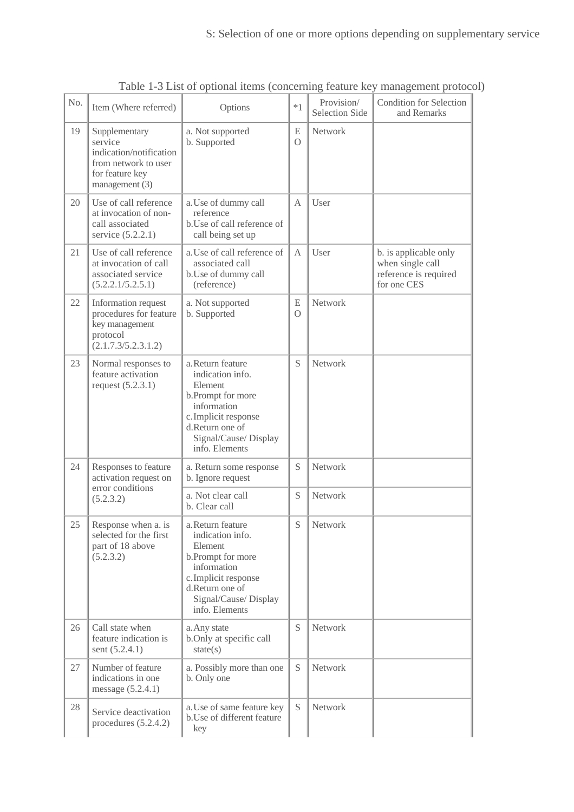| No. | Item (Where referred)                                                                                            | Options                                                                                                                                                                    | $*1$          | Provision/<br><b>Selection Side</b> | <b>Condition for Selection</b><br>and Remarks                                     |
|-----|------------------------------------------------------------------------------------------------------------------|----------------------------------------------------------------------------------------------------------------------------------------------------------------------------|---------------|-------------------------------------|-----------------------------------------------------------------------------------|
| 19  | Supplementary<br>service<br>indication/notification<br>from network to user<br>for feature key<br>management (3) | a. Not supported<br>b. Supported                                                                                                                                           | E<br>$\Omega$ | Network                             |                                                                                   |
| 20  | Use of call reference<br>at invocation of non-<br>call associated<br>service (5.2.2.1)                           | a. Use of dummy call<br>reference<br>b. Use of call reference of<br>call being set up                                                                                      | A             | User                                |                                                                                   |
| 21  | Use of call reference<br>at invocation of call<br>associated service<br>(5.2.2.1/5.2.5.1)                        | a. Use of call reference of<br>associated call<br>b. Use of dummy call<br>(reference)                                                                                      | А             | User                                | b. is applicable only<br>when single call<br>reference is required<br>for one CES |
| 22  | Information request<br>procedures for feature<br>key management<br>protocol<br>(2.1.7.3/5.2.3.1.2)               | a. Not supported<br>b. Supported                                                                                                                                           | E<br>$\circ$  | Network                             |                                                                                   |
| 23  | Normal responses to<br>feature activation<br>request $(5.2.3.1)$                                                 | a. Return feature<br>indication info.<br>Element<br>b.Prompt for more<br>information<br>c. Implicit response<br>d.Return one of<br>Signal/Cause/ Display<br>info. Elements | S             | Network                             |                                                                                   |
| 24  | Responses to feature<br>activation request on                                                                    | a. Return some response<br>b. Ignore request                                                                                                                               | S             | Network                             |                                                                                   |
|     | error conditions<br>(5.2.3.2)                                                                                    | a. Not clear call<br>b. Clear call                                                                                                                                         | S             | Network                             |                                                                                   |
| 25  | Response when a. is<br>selected for the first<br>part of 18 above<br>(5.2.3.2)                                   | a. Return feature<br>indication info.<br>Element<br>b.Prompt for more<br>information<br>c.Implicit response<br>d.Return one of<br>Signal/Cause/ Display<br>info. Elements  | S             | Network                             |                                                                                   |
| 26  | Call state when<br>feature indication is<br>sent (5.2.4.1)                                                       | a. Any state<br>b.Only at specific call<br>state(s)                                                                                                                        | S             | Network                             |                                                                                   |
| 27  | Number of feature<br>indications in one<br>message (5.2.4.1)                                                     | a. Possibly more than one<br>b. Only one                                                                                                                                   | S             | Network                             |                                                                                   |
| 28  | Service deactivation<br>procedures $(5.2.4.2)$                                                                   | a. Use of same feature key<br>b. Use of different feature<br>key                                                                                                           | S             | Network                             |                                                                                   |

Table 1-3 List of optional items (concerning feature key management protocol)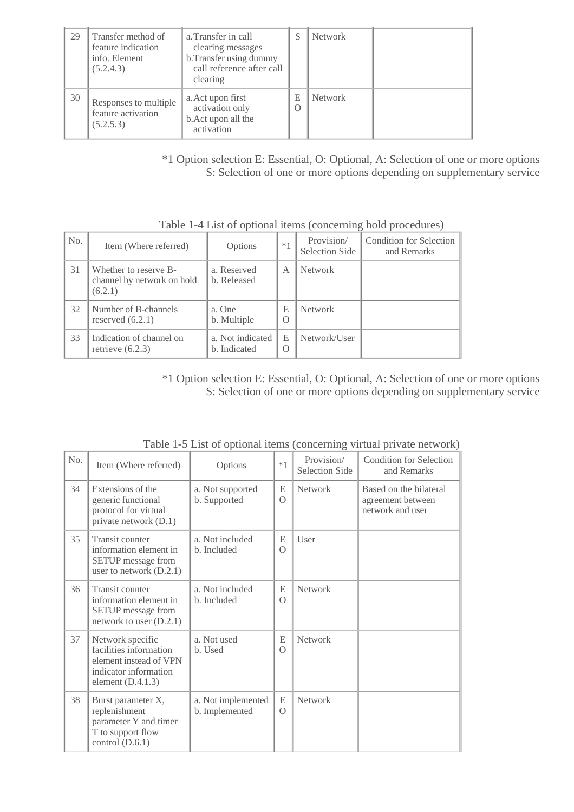| 29 | Transfer method of<br>feature indication<br>info. Element<br>(5.2.4.3) | a. Transfer in call<br>clearing messages<br>b. Transfer using dummy<br>call reference after call<br>clearing | S             | <b>Network</b> |  |
|----|------------------------------------------------------------------------|--------------------------------------------------------------------------------------------------------------|---------------|----------------|--|
| 30 | Responses to multiple<br>feature activation<br>(5.2.5.3)               | a. Act upon first<br>activation only<br>b. Act upon all the<br>activation                                    | E<br>$\Omega$ | <b>Network</b> |  |

\*1 Option selection E: Essential, O: Optional, A: Selection of one or more options S: Selection of one or more options depending on supplementary service

| No. | Item (Where referred)                                          | Options                          | $*1$                  | Provision/<br>Selection Side | Condition for Selection<br>and Remarks |
|-----|----------------------------------------------------------------|----------------------------------|-----------------------|------------------------------|----------------------------------------|
| 31  | Whether to reserve B-<br>channel by network on hold<br>(6.2.1) | a. Reserved<br>b. Released       | $\mathsf{A}$          | <b>Network</b>               |                                        |
| 32  | Number of B-channels<br>reserved $(6.2.1)$                     | a. One<br>b. Multiple            | E<br>$\left( \right)$ | <b>Network</b>               |                                        |
| 33  | Indication of channel on<br>retrieve $(6.2.3)$                 | a. Not indicated<br>b. Indicated | E<br>$\left( \right)$ | Network/User                 |                                        |

Table 1-4 List of optional items (concerning hold procedures)

\*1 Option selection E: Essential, O: Optional, A: Selection of one or more options S: Selection of one or more options depending on supplementary service

| No. | Item (Where referred)                                                                                                | Options                              | $*1$          | Provision/<br><b>Selection Side</b> | Condition for Selection<br>and Remarks                          |
|-----|----------------------------------------------------------------------------------------------------------------------|--------------------------------------|---------------|-------------------------------------|-----------------------------------------------------------------|
| 34  | Extensions of the<br>generic functional<br>protocol for virtual<br>private network (D.1)                             | a. Not supported<br>b. Supported     | E<br>$\Omega$ | <b>Network</b>                      | Based on the bilateral<br>agreement between<br>network and user |
| 35  | Transit counter<br>information element in<br>SETUP message from<br>user to network $(D.2.1)$                         | a. Not included<br>b. Included       | E<br>$\Omega$ | User                                |                                                                 |
| 36  | <b>Transit counter</b><br>information element in<br>SETUP message from<br>network to user $(D.2.1)$                  | a. Not included<br>b. Included       | E<br>$\Omega$ | Network                             |                                                                 |
| 37  | Network specific<br>facilities information<br>element instead of VPN<br>indicator information<br>element $(D.4.1.3)$ | a. Not used<br>b. Used               | E<br>$\Omega$ | <b>Network</b>                      |                                                                 |
| 38  | Burst parameter X,<br>replenishment<br>parameter Y and timer<br>T to support flow<br>control $(D.6.1)$               | a. Not implemented<br>b. Implemented | E<br>$\Omega$ | <b>Network</b>                      |                                                                 |

Table 1-5 List of optional items (concerning virtual private network)